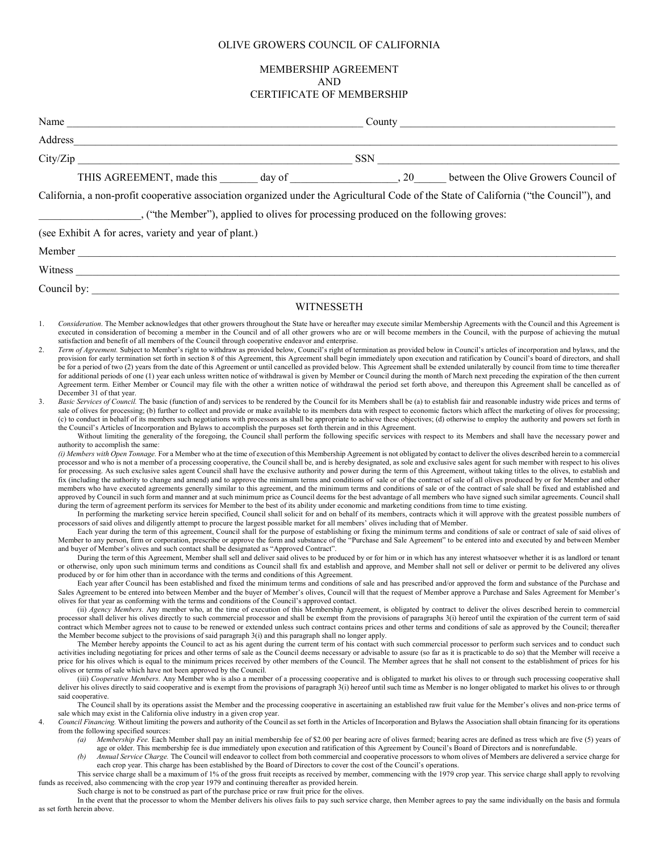## OLIVE GROWERS COUNCIL OF CALIFORNIA

# MEMBERSHIP AGREEMENT AND CERTIFICATE OF MEMBERSHIP

|                                                                                                                                                                                                                                                                                                                                                                                                                                                                                                                                                                                                                                                                                                                                                                                                                                                                                                                                                                                                                                                                                                                                                                                                                                                                                                                                                                                                                                                                                                                                                                                                                                                                                                                                                                                                                                                                                                                                                                                                                                                                                                                                                                                                                                                                                                                                                                                                                                                                                                                                                                                                                                                                                                                                                                                                                                                                                                                                                                                                                                                                                                                                                                                                                                                                                                                                                                                                                                                                                                                                                                                                                                                                                                                                                                                                                                                                                                                                                                                                                                                                                                                                                                                                                                                                                                                                                                                                                                                                                                                                                                                                                                                                                                                                                                                                                                                                                                                                                                                                                                                                                                                                                                                                                                                                                                                                                                                                                                                                                                                                    | $\text{Country}$                                                                                                                                                                                                                                                                                                                                                                                                                                                                                                                                                                                                                                                                                                                                                                                                                                                                                                                                                                                                                                                                                                                                                                                                                                                                                     |
|------------------------------------------------------------------------------------------------------------------------------------------------------------------------------------------------------------------------------------------------------------------------------------------------------------------------------------------------------------------------------------------------------------------------------------------------------------------------------------------------------------------------------------------------------------------------------------------------------------------------------------------------------------------------------------------------------------------------------------------------------------------------------------------------------------------------------------------------------------------------------------------------------------------------------------------------------------------------------------------------------------------------------------------------------------------------------------------------------------------------------------------------------------------------------------------------------------------------------------------------------------------------------------------------------------------------------------------------------------------------------------------------------------------------------------------------------------------------------------------------------------------------------------------------------------------------------------------------------------------------------------------------------------------------------------------------------------------------------------------------------------------------------------------------------------------------------------------------------------------------------------------------------------------------------------------------------------------------------------------------------------------------------------------------------------------------------------------------------------------------------------------------------------------------------------------------------------------------------------------------------------------------------------------------------------------------------------------------------------------------------------------------------------------------------------------------------------------------------------------------------------------------------------------------------------------------------------------------------------------------------------------------------------------------------------------------------------------------------------------------------------------------------------------------------------------------------------------------------------------------------------------------------------------------------------------------------------------------------------------------------------------------------------------------------------------------------------------------------------------------------------------------------------------------------------------------------------------------------------------------------------------------------------------------------------------------------------------------------------------------------------------------------------------------------------------------------------------------------------------------------------------------------------------------------------------------------------------------------------------------------------------------------------------------------------------------------------------------------------------------------------------------------------------------------------------------------------------------------------------------------------------------------------------------------------------------------------------------------------------------------------------------------------------------------------------------------------------------------------------------------------------------------------------------------------------------------------------------------------------------------------------------------------------------------------------------------------------------------------------------------------------------------------------------------------------------------------------------------------------------------------------------------------------------------------------------------------------------------------------------------------------------------------------------------------------------------------------------------------------------------------------------------------------------------------------------------------------------------------------------------------------------------------------------------------------------------------------------------------------------------------------------------------------------------------------------------------------------------------------------------------------------------------------------------------------------------------------------------------------------------------------------------------------------------------------------------------------------------------------------------------------------------------------------------------------------------------------------------------------------------------------------------------|------------------------------------------------------------------------------------------------------------------------------------------------------------------------------------------------------------------------------------------------------------------------------------------------------------------------------------------------------------------------------------------------------------------------------------------------------------------------------------------------------------------------------------------------------------------------------------------------------------------------------------------------------------------------------------------------------------------------------------------------------------------------------------------------------------------------------------------------------------------------------------------------------------------------------------------------------------------------------------------------------------------------------------------------------------------------------------------------------------------------------------------------------------------------------------------------------------------------------------------------------------------------------------------------------|
|                                                                                                                                                                                                                                                                                                                                                                                                                                                                                                                                                                                                                                                                                                                                                                                                                                                                                                                                                                                                                                                                                                                                                                                                                                                                                                                                                                                                                                                                                                                                                                                                                                                                                                                                                                                                                                                                                                                                                                                                                                                                                                                                                                                                                                                                                                                                                                                                                                                                                                                                                                                                                                                                                                                                                                                                                                                                                                                                                                                                                                                                                                                                                                                                                                                                                                                                                                                                                                                                                                                                                                                                                                                                                                                                                                                                                                                                                                                                                                                                                                                                                                                                                                                                                                                                                                                                                                                                                                                                                                                                                                                                                                                                                                                                                                                                                                                                                                                                                                                                                                                                                                                                                                                                                                                                                                                                                                                                                                                                                                                                    |                                                                                                                                                                                                                                                                                                                                                                                                                                                                                                                                                                                                                                                                                                                                                                                                                                                                                                                                                                                                                                                                                                                                                                                                                                                                                                      |
|                                                                                                                                                                                                                                                                                                                                                                                                                                                                                                                                                                                                                                                                                                                                                                                                                                                                                                                                                                                                                                                                                                                                                                                                                                                                                                                                                                                                                                                                                                                                                                                                                                                                                                                                                                                                                                                                                                                                                                                                                                                                                                                                                                                                                                                                                                                                                                                                                                                                                                                                                                                                                                                                                                                                                                                                                                                                                                                                                                                                                                                                                                                                                                                                                                                                                                                                                                                                                                                                                                                                                                                                                                                                                                                                                                                                                                                                                                                                                                                                                                                                                                                                                                                                                                                                                                                                                                                                                                                                                                                                                                                                                                                                                                                                                                                                                                                                                                                                                                                                                                                                                                                                                                                                                                                                                                                                                                                                                                                                                                                                    |                                                                                                                                                                                                                                                                                                                                                                                                                                                                                                                                                                                                                                                                                                                                                                                                                                                                                                                                                                                                                                                                                                                                                                                                                                                                                                      |
|                                                                                                                                                                                                                                                                                                                                                                                                                                                                                                                                                                                                                                                                                                                                                                                                                                                                                                                                                                                                                                                                                                                                                                                                                                                                                                                                                                                                                                                                                                                                                                                                                                                                                                                                                                                                                                                                                                                                                                                                                                                                                                                                                                                                                                                                                                                                                                                                                                                                                                                                                                                                                                                                                                                                                                                                                                                                                                                                                                                                                                                                                                                                                                                                                                                                                                                                                                                                                                                                                                                                                                                                                                                                                                                                                                                                                                                                                                                                                                                                                                                                                                                                                                                                                                                                                                                                                                                                                                                                                                                                                                                                                                                                                                                                                                                                                                                                                                                                                                                                                                                                                                                                                                                                                                                                                                                                                                                                                                                                                                                                    |                                                                                                                                                                                                                                                                                                                                                                                                                                                                                                                                                                                                                                                                                                                                                                                                                                                                                                                                                                                                                                                                                                                                                                                                                                                                                                      |
| California, a non-profit cooperative association organized under the Agricultural Code of the State of California ("the Council"), and                                                                                                                                                                                                                                                                                                                                                                                                                                                                                                                                                                                                                                                                                                                                                                                                                                                                                                                                                                                                                                                                                                                                                                                                                                                                                                                                                                                                                                                                                                                                                                                                                                                                                                                                                                                                                                                                                                                                                                                                                                                                                                                                                                                                                                                                                                                                                                                                                                                                                                                                                                                                                                                                                                                                                                                                                                                                                                                                                                                                                                                                                                                                                                                                                                                                                                                                                                                                                                                                                                                                                                                                                                                                                                                                                                                                                                                                                                                                                                                                                                                                                                                                                                                                                                                                                                                                                                                                                                                                                                                                                                                                                                                                                                                                                                                                                                                                                                                                                                                                                                                                                                                                                                                                                                                                                                                                                                                             |                                                                                                                                                                                                                                                                                                                                                                                                                                                                                                                                                                                                                                                                                                                                                                                                                                                                                                                                                                                                                                                                                                                                                                                                                                                                                                      |
| ("the Member"), applied to olives for processing produced on the following groves:                                                                                                                                                                                                                                                                                                                                                                                                                                                                                                                                                                                                                                                                                                                                                                                                                                                                                                                                                                                                                                                                                                                                                                                                                                                                                                                                                                                                                                                                                                                                                                                                                                                                                                                                                                                                                                                                                                                                                                                                                                                                                                                                                                                                                                                                                                                                                                                                                                                                                                                                                                                                                                                                                                                                                                                                                                                                                                                                                                                                                                                                                                                                                                                                                                                                                                                                                                                                                                                                                                                                                                                                                                                                                                                                                                                                                                                                                                                                                                                                                                                                                                                                                                                                                                                                                                                                                                                                                                                                                                                                                                                                                                                                                                                                                                                                                                                                                                                                                                                                                                                                                                                                                                                                                                                                                                                                                                                                                                                 |                                                                                                                                                                                                                                                                                                                                                                                                                                                                                                                                                                                                                                                                                                                                                                                                                                                                                                                                                                                                                                                                                                                                                                                                                                                                                                      |
| (see Exhibit A for acres, variety and year of plant.)                                                                                                                                                                                                                                                                                                                                                                                                                                                                                                                                                                                                                                                                                                                                                                                                                                                                                                                                                                                                                                                                                                                                                                                                                                                                                                                                                                                                                                                                                                                                                                                                                                                                                                                                                                                                                                                                                                                                                                                                                                                                                                                                                                                                                                                                                                                                                                                                                                                                                                                                                                                                                                                                                                                                                                                                                                                                                                                                                                                                                                                                                                                                                                                                                                                                                                                                                                                                                                                                                                                                                                                                                                                                                                                                                                                                                                                                                                                                                                                                                                                                                                                                                                                                                                                                                                                                                                                                                                                                                                                                                                                                                                                                                                                                                                                                                                                                                                                                                                                                                                                                                                                                                                                                                                                                                                                                                                                                                                                                              |                                                                                                                                                                                                                                                                                                                                                                                                                                                                                                                                                                                                                                                                                                                                                                                                                                                                                                                                                                                                                                                                                                                                                                                                                                                                                                      |
|                                                                                                                                                                                                                                                                                                                                                                                                                                                                                                                                                                                                                                                                                                                                                                                                                                                                                                                                                                                                                                                                                                                                                                                                                                                                                                                                                                                                                                                                                                                                                                                                                                                                                                                                                                                                                                                                                                                                                                                                                                                                                                                                                                                                                                                                                                                                                                                                                                                                                                                                                                                                                                                                                                                                                                                                                                                                                                                                                                                                                                                                                                                                                                                                                                                                                                                                                                                                                                                                                                                                                                                                                                                                                                                                                                                                                                                                                                                                                                                                                                                                                                                                                                                                                                                                                                                                                                                                                                                                                                                                                                                                                                                                                                                                                                                                                                                                                                                                                                                                                                                                                                                                                                                                                                                                                                                                                                                                                                                                                                                                    |                                                                                                                                                                                                                                                                                                                                                                                                                                                                                                                                                                                                                                                                                                                                                                                                                                                                                                                                                                                                                                                                                                                                                                                                                                                                                                      |
|                                                                                                                                                                                                                                                                                                                                                                                                                                                                                                                                                                                                                                                                                                                                                                                                                                                                                                                                                                                                                                                                                                                                                                                                                                                                                                                                                                                                                                                                                                                                                                                                                                                                                                                                                                                                                                                                                                                                                                                                                                                                                                                                                                                                                                                                                                                                                                                                                                                                                                                                                                                                                                                                                                                                                                                                                                                                                                                                                                                                                                                                                                                                                                                                                                                                                                                                                                                                                                                                                                                                                                                                                                                                                                                                                                                                                                                                                                                                                                                                                                                                                                                                                                                                                                                                                                                                                                                                                                                                                                                                                                                                                                                                                                                                                                                                                                                                                                                                                                                                                                                                                                                                                                                                                                                                                                                                                                                                                                                                                                                                    |                                                                                                                                                                                                                                                                                                                                                                                                                                                                                                                                                                                                                                                                                                                                                                                                                                                                                                                                                                                                                                                                                                                                                                                                                                                                                                      |
|                                                                                                                                                                                                                                                                                                                                                                                                                                                                                                                                                                                                                                                                                                                                                                                                                                                                                                                                                                                                                                                                                                                                                                                                                                                                                                                                                                                                                                                                                                                                                                                                                                                                                                                                                                                                                                                                                                                                                                                                                                                                                                                                                                                                                                                                                                                                                                                                                                                                                                                                                                                                                                                                                                                                                                                                                                                                                                                                                                                                                                                                                                                                                                                                                                                                                                                                                                                                                                                                                                                                                                                                                                                                                                                                                                                                                                                                                                                                                                                                                                                                                                                                                                                                                                                                                                                                                                                                                                                                                                                                                                                                                                                                                                                                                                                                                                                                                                                                                                                                                                                                                                                                                                                                                                                                                                                                                                                                                                                                                                                                    |                                                                                                                                                                                                                                                                                                                                                                                                                                                                                                                                                                                                                                                                                                                                                                                                                                                                                                                                                                                                                                                                                                                                                                                                                                                                                                      |
| WITNESSETH                                                                                                                                                                                                                                                                                                                                                                                                                                                                                                                                                                                                                                                                                                                                                                                                                                                                                                                                                                                                                                                                                                                                                                                                                                                                                                                                                                                                                                                                                                                                                                                                                                                                                                                                                                                                                                                                                                                                                                                                                                                                                                                                                                                                                                                                                                                                                                                                                                                                                                                                                                                                                                                                                                                                                                                                                                                                                                                                                                                                                                                                                                                                                                                                                                                                                                                                                                                                                                                                                                                                                                                                                                                                                                                                                                                                                                                                                                                                                                                                                                                                                                                                                                                                                                                                                                                                                                                                                                                                                                                                                                                                                                                                                                                                                                                                                                                                                                                                                                                                                                                                                                                                                                                                                                                                                                                                                                                                                                                                                                                         |                                                                                                                                                                                                                                                                                                                                                                                                                                                                                                                                                                                                                                                                                                                                                                                                                                                                                                                                                                                                                                                                                                                                                                                                                                                                                                      |
| Consideration. The Member acknowledges that other growers throughout the State have or hereafter may execute similar Membership Agreements with the Council and this Agreement is<br>1.<br>executed in consideration of becoming a member in the Council and of all other growers who are or will become members in the Council, with the purpose of achieving the mutual<br>satisfaction and benefit of all members of the Council through cooperative endeavor and enterprise.<br>2.<br>Term of Agreement. Subject to Member's right to withdraw as provided below, Council's right of termination as provided below in Council's articles of incorporation and bylaws, and the<br>provision for early termination set forth in section 8 of this Agreement, this Agreement shall begin immediately upon execution and ratification by Council's board of directors, and shall<br>be for a period of two (2) years from the date of this Agreement or until cancelled as provided below. This Agreement shall be extended unilaterally by council from time to time thereafter<br>for additional periods of one (1) year each unless written notice of withdrawal is given by Member or Council during the month of March next preceding the expiration of the then current<br>Agreement term. Either Member or Council may file with the other a written notice of withdrawal the period set forth above, and thereupon this Agreement shall be cancelled as of<br>December 31 of that year.<br>3.<br>Basic Services of Council. The basic (function of and) services to be rendered by the Council for its Members shall be (a) to establish fair and reasonable industry wide prices and terms of<br>sale of olives for processing; (b) further to collect and provide or make available to its members data with respect to economic factors which affect the marketing of olives for processing;<br>(c) to conduct in behalf of its members such negotiations with processors as shall be appropriate to achieve these objectives; (d) otherwise to employ the authority and powers set forth in<br>the Council's Articles of Incorporation and Bylaws to accomplish the purposes set forth therein and in this Agreement.<br>authority to accomplish the same:<br>(i) Members with Open Tonnage. For a Member who at the time of execution of this Membership Agreement is not obligated by contact to deliver the olives described herein to a commercial<br>processor and who is not a member of a processing cooperative, the Council shall be, and is hereby designated, as sole and exclusive sales agent for such member with respect to his olives<br>for processing. As such exclusive sales agent Council shall have the exclusive authority and power during the term of this Agreement, without taking titles to the olives, to establish and<br>fix (including the authority to change and amend) and to approve the minimum terms and conditions of sale or of the contract of sale of all olives produced by or for Member and other<br>members who have executed agreements generally similar to this agreement, and the minimum terms and conditions of sale or of the contract of sale shall be fixed and established and<br>approved by Council in such form and manner and at such minimum price as Council deems for the best advantage of all members who have signed such similar agreements. Council shall<br>during the term of agreement perform its services for Member to the best of its ability under economic and marketing conditions from time to time existing.<br>processors of said olives and diligently attempt to procure the largest possible market for all members' olives including that of Member.<br>Member to any person, firm or corporation, prescribe or approve the form and substance of the "Purchase and Sale Agreement" to be entered into and executed by and between Member<br>and buyer of Member's olives and such contact shall be designated as "Approved Contract".<br>or otherwise, only upon such minimum terms and conditions as Council shall fix and establish and approve, and Member shall not sell or deliver or permit to be delivered any olives<br>produced by or for him other than in accordance with the terms and conditions of this Agreement.<br>Sales Agreement to be entered into between Member and the buyer of Member's olives, Council will that the request of Member approve a Purchase and Sales Agreement for Member's<br>olives for that year as conforming with the terms and conditions of the Council's approved contact.<br>processor shall deliver his olives directly to such commercial processor and shall be exempt from the provisions of paragraphs 3(i) hereof until the expiration of the current term of said<br>contract which Member agrees not to cause to be renewed or extended unless such contract contains prices and other terms and conditions of sale as approved by the Council; thereafter<br>the Member become subject to the provisions of said paragraph 3(i) and this paragraph shall no longer apply.<br>activities including negotiating for prices and other terms of sale as the Council deems necessary or advisable to assure (so far as it is practicable to do so) that the Member will receive a<br>price for his olives which is equal to the minimum prices received by other members of the Council. The Member agrees that he shall not consent to the establishment of prices for his | Without limiting the generality of the foregoing, the Council shall perform the following specific services with respect to its Members and shall have the necessary power and<br>In performing the marketing service herein specified, Council shall solicit for and on behalf of its members, contracts which it will approve with the greatest possible numbers of<br>Each year during the term of this agreement, Council shall for the purpose of establishing or fixing the minimum terms and conditions of sale or contract of sale of said olives of<br>During the term of this Agreement, Member shall sell and deliver said olives to be produced by or for him or in which has any interest whatsoever whether it is as landlord or tenant<br>Each year after Council has been established and fixed the minimum terms and conditions of sale and has prescribed and/or approved the form and substance of the Purchase and<br>(ii) Agency Members. Any member who, at the time of execution of this Membership Agreement, is obligated by contract to deliver the olives described herein to commercial<br>The Member hereby appoints the Council to act as his agent during the current term of his contact with such commercial processor to perform such services and to conduct such |
| olives or terms of sale which have not been approved by the Council.<br>deliver his olives directly to said cooperative and is exempt from the provisions of paragraph 3(i) hereof until such time as Member is no longer obligated to market his olives to or through<br>said cooperative.<br>sale which may exist in the California olive industry in a given crop year.<br>4.<br>Council Financing. Without limiting the powers and authority of the Council as set forth in the Articles of Incorporation and Bylaws the Association shall obtain financing for its operations<br>from the following specified sources:<br>(a)<br>age or older. This membership fee is due immediately upon execution and ratification of this Agreement by Council's Board of Directors and is nonrefundable.<br>(b)<br>each crop year. This charge has been established by the Board of Directors to cover the cost of the Council's operations.<br>funds as received, also commencing with the crop year 1979 and continuing thereafter as provided herein.<br>Such charge is not to be construed as part of the purchase price or raw fruit price for the olives.                                                                                                                                                                                                                                                                                                                                                                                                                                                                                                                                                                                                                                                                                                                                                                                                                                                                                                                                                                                                                                                                                                                                                                                                                                                                                                                                                                                                                                                                                                                                                                                                                                                                                                                                                                                                                                                                                                                                                                                                                                                                                                                                                                                                                                                                                                                                                                                                                                                                                                                                                                                                                                                                                                                                                                                                                                                                                                                                                                                                                                                                                                                                                                                                                                                                                                                                                                                                                                                                                                                                                                                                                                                                                                                                                                                                                                                                                                                                                                                                                                                                                                                                                                                                                                                                                                                                                                          | (iii) Cooperative Members. Any Member who is also a member of a processing cooperative and is obligated to market his olives to or through such processing cooperative shall<br>The Council shall by its operations assist the Member and the processing cooperative in ascertaining an established raw fruit value for the Member's olives and non-price terms of<br>Membership Fee. Each Member shall pay an initial membership fee of \$2.00 per bearing acre of olives farmed; bearing acres are defined as tress which are five (5) years of<br>Annual Service Charge. The Council will endeavor to collect from both commercial and cooperative processors to whom olives of Members are delivered a service charge for<br>This service charge shall be a maximum of 1% of the gross fruit receipts as received by member, commencing with the 1979 crop year. This service charge shall apply to revolving                                                                                                                                                                                                                                                                                                                                                                                    |

In the event that the processor to whom the Member delivers his olives fails to pay such service charge, then Member agrees to pay the same individually on the basis and formula as set forth herein above.